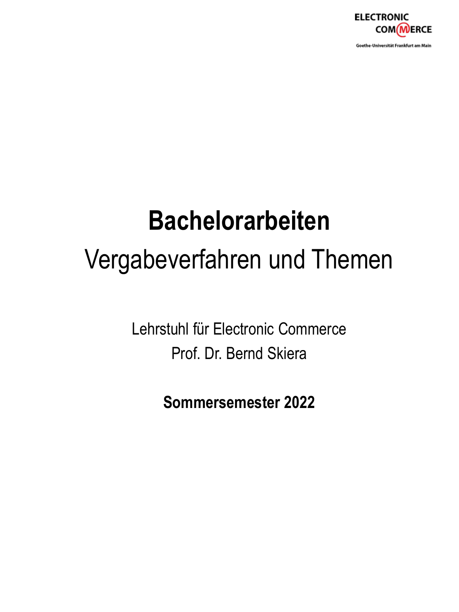

Goethe-Universität Frankfurt am Main

# **Bachelorarbeiten** Vergabeverfahren und Themen

Lehrstuhl für Electronic Commerce Prof. Dr. Bernd Skiera

**Sommersemester 2022**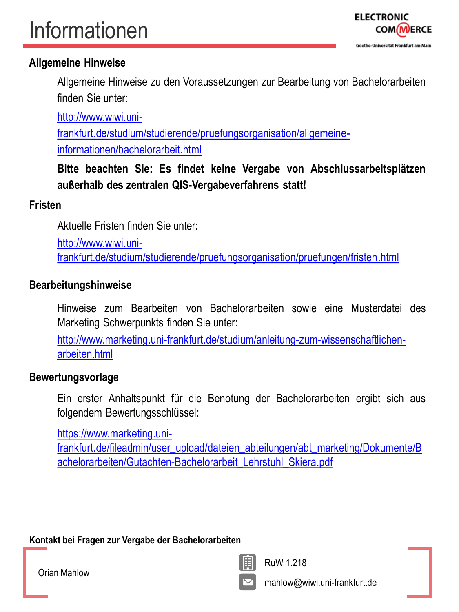## Informationen



#### **Allgemeine Hinweise**

Allgemeine Hinweise zu den Voraussetzungen zur Bearbeitung von Bachelorarbeiten finden Sie unter:

http://www.wiwi.uni[frankfurt.de/studium/studierende/pruefungsorganisation/allgemeine](http://www.wiwi.uni-frankfurt.de/studium/studierende/pruefungsorganisation/allgemeine-informationen/bachelorarbeit.html)informationen/bachelorarbeit.html

**Bitte beachten Sie: Es findet keine Vergabe von Abschlussarbeitsplätzen außerhalb des zentralen QIS-Vergabeverfahrens statt!**

#### **Fristen**

Aktuelle Fristen finden Sie unter:

http://www.wiwi.uni[frankfurt.de/studium/studierende/pruefungsorganisation/pruefungen/fristen.html](http://www.wiwi.uni-frankfurt.de/studium/studierende/pruefungsorganisation/pruefungen/fristen.html)

#### **Bearbeitungshinweise**

Hinweise zum Bearbeiten von Bachelorarbeiten sowie eine Musterdatei des Marketing Schwerpunkts finden Sie unter:

[http://www.marketing.uni-frankfurt.de/studium/anleitung-zum-wissenschaftlichen](http://www.marketing.uni-frankfurt.de/studium/anleitung-zum-wissenschaftlichen-arbeiten.html)arbeiten.html

#### **Bewertungsvorlage**

Ein erster Anhaltspunkt für die Benotung der Bachelorarbeiten ergibt sich aus folgendem Bewertungsschlüssel:

https://www.marketing.uni-

[frankfurt.de/fileadmin/user\\_upload/dateien\\_abteilungen/abt\\_marketing/Dokumente/B](https://www.marketing.uni-frankfurt.de/fileadmin/user_upload/dateien_abteilungen/abt_marketing/Dokumente/Bachelorarbeiten/Gutachten-Bachelorarbeit_Lehrstuhl_Skiera.pdf) achelorarbeiten/Gutachten-Bachelorarbeit\_Lehrstuhl\_Skiera.pdf

#### **Kontakt bei Fragen zur Vergabe der Bachelorarbeiten**

RuW 1.218

Orian Mahlow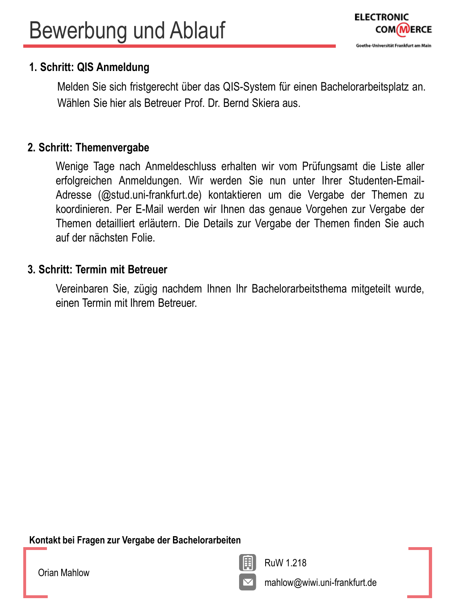#### **1. Schritt: QIS Anmeldung**

Melden Sie sich fristgerecht über das QIS-System für einen Bachelorarbeitsplatz an. Wählen Sie hier als Betreuer Prof. Dr. Bernd Skiera aus.

#### **2. Schritt: Themenvergabe**

Wenige Tage nach Anmeldeschluss erhalten wir vom Prüfungsamt die Liste aller erfolgreichen Anmeldungen. Wir werden Sie nun unter Ihrer Studenten-Email-Adresse (@stud.uni-frankfurt.de) kontaktieren um die Vergabe der Themen zu koordinieren. Per E-Mail werden wir Ihnen das genaue Vorgehen zur Vergabe der Themen detailliert erläutern. Die Details zur Vergabe der Themen finden Sie auch auf der nächsten Folie.

#### **3. Schritt: Termin mit Betreuer**

Vereinbaren Sie, zügig nachdem Ihnen Ihr Bachelorarbeitsthema mitgeteilt wurde, einen Termin mit Ihrem Betreuer.

**Kontakt bei Fragen zur Vergabe der Bachelorarbeiten**

Orian Mahlow



RuW 1.218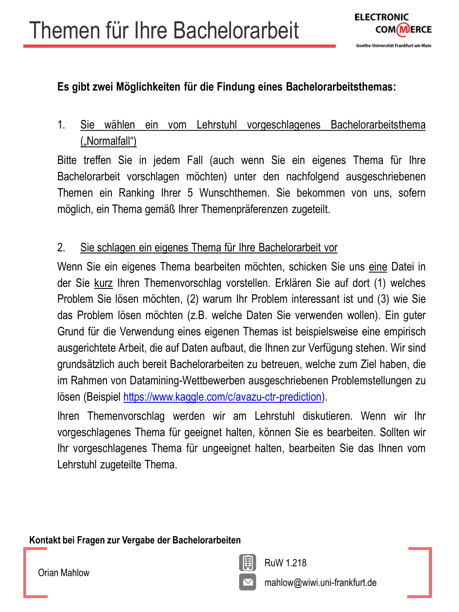### **Es gibt zwei Möglichkeiten für die Findung eines Bachelorarbeitsthemas:**

1. Sie wählen ein vom Lehrstuhl vorgeschlagenes Bachelorarbeitsthema ("Normalfall")

Bitte treffen Sie in jedem Fall (auch wenn Sie ein eigenes Thema für Ihre Bachelorarbeit vorschlagen möchten) unter den nachfolgend ausgeschriebenen Themen ein Ranking Ihrer 5 Wunschthemen. Sie bekommen von uns, sofern möglich, ein Thema gemäß Ihrer Themenpräferenzen zugeteilt.

### 2. Sie schlagen ein eigenes Thema für Ihre Bachelorarbeit vor

Wenn Sie ein eigenes Thema bearbeiten möchten, schicken Sie uns eine Datei in der Sie kurz Ihren Themenvorschlag vorstellen. Erklären Sie auf dort (1) welches Problem Sie lösen möchten, (2) warum Ihr Problem interessant ist und (3) wie Sie das Problem lösen möchten (z.B. welche Daten Sie verwenden wollen). Ein guter Grund für die Verwendung eines eigenen Themas ist beispielsweise eine empirisch ausgerichtete Arbeit, die auf Daten aufbaut, die Ihnen zur Verfügung stehen. Wir sind grundsätzlich auch bereit Bachelorarbeiten zu betreuen, welche zum Ziel haben, die im Rahmen von Datamining-Wettbewerben ausgeschriebenen Problemstellungen zu lösen (Beispiel <https://www.kaggle.com/c/avazu-ctr-prediction>).

Ihren Themenvorschlag werden wir am Lehrstuhl diskutieren. Wenn wir Ihr vorgeschlagenes Thema für geeignet halten, können Sie es bearbeiten. Sollten wir Ihr vorgeschlagenes Thema für ungeeignet halten, bearbeiten Sie das Ihnen vom Lehrstuhl zugeteilte Thema.

**Kontakt bei Fragen zur Vergabe der Bachelorarbeiten**

Orian Mahlow

RuW 1.218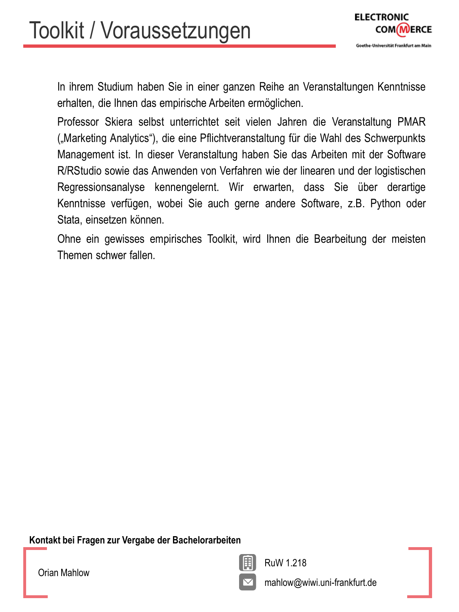

In ihrem Studium haben Sie in einer ganzen Reihe an Veranstaltungen Kenntnisse erhalten, die Ihnen das empirische Arbeiten ermöglichen.

Professor Skiera selbst unterrichtet seit vielen Jahren die Veranstaltung PMAR ("Marketing Analytics"), die eine Pflichtveranstaltung für die Wahl des Schwerpunkts Management ist. In dieser Veranstaltung haben Sie das Arbeiten mit der Software R/RStudio sowie das Anwenden von Verfahren wie der linearen und der logistischen Regressionsanalyse kennengelernt. Wir erwarten, dass Sie über derartige Kenntnisse verfügen, wobei Sie auch gerne andere Software, z.B. Python oder Stata, einsetzen können.

Ohne ein gewisses empirisches Toolkit, wird Ihnen die Bearbeitung der meisten Themen schwer fallen.

**Kontakt bei Fragen zur Vergabe der Bachelorarbeiten**

Orian Mahlow



RuW 1.218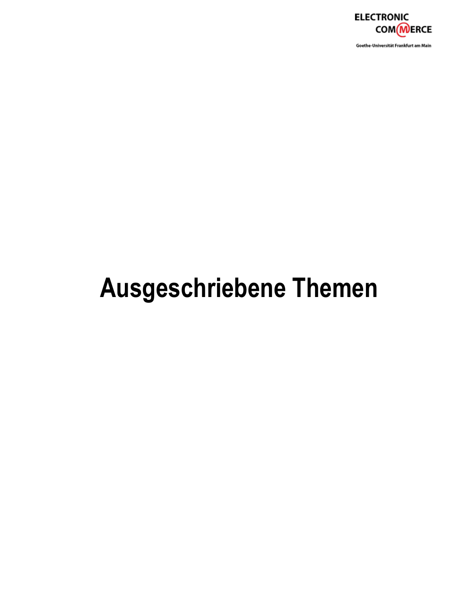

Goethe-Universität Frankfurt am Main

## **Ausgeschriebene Themen**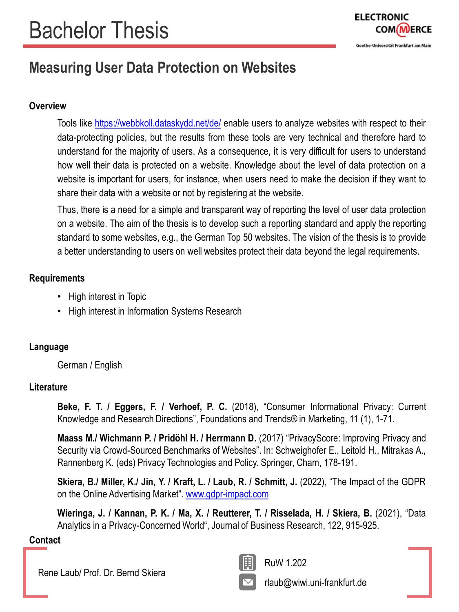

## **Measuring User Data Protection on Websites**

#### **Overview**

Tools like <https://webbkoll.dataskydd.net/de/> enable users to analyze websites with respect to their data-protecting policies, but the results from these tools are very technical and therefore hard to understand for the majority of users. As a consequence, it is very difficult for users to understand how well their data is protected on a website. Knowledge about the level of data protection on a website is important for users, for instance, when users need to make the decision if they want to share their data with a website or not by registering at the website.

Thus, there is a need for a simple and transparent way of reporting the level of user data protection on a website. The aim of the thesis is to develop such a reporting standard and apply the reporting standard to some websites, e.g., the German Top 50 websites. The vision of the thesis is to provide a better understanding to users on well websites protect their data beyond the legal requirements.

#### **Requirements**

- High interest in Topic
- High interest in Information Systems Research

#### **Language**

German / English

#### **Literature**

**Beke, F. T. / Eggers, F. / Verhoef, P. C.** (2018), "Consumer Informational Privacy: Current Knowledge and Research Directions", Foundations and Trends® in Marketing, 11 (1), 1-71.

**Maass M./ Wichmann P. / Pridöhl H. / Herrmann D.** (2017) "PrivacyScore: Improving Privacy and Security via Crowd-Sourced Benchmarks of Websites". In: Schweighofer E., Leitold H., Mitrakas A., Rannenberg K. (eds) Privacy Technologies and Policy. Springer, Cham, 178-191.

**Skiera, B./ Miller, K./ Jin, Y. / Kraft, L. / Laub, R. / Schmitt, J.** (2022), "The Impact of the GDPR on the Online Advertising Market". [www.gdpr-impact.com](http://www.gdpr-impact.com/)

**Wieringa, J. / Kannan, P. K. / Ma, X. / Reutterer, T. / Risselada, H. / Skiera, B.** (2021), "Data Analytics in a Privacy-Concerned World", Journal of Business Research, 122, 915-925.

#### **Contact**

Rene Laub/ Prof. Dr. Bernd Skiera



RuW 1.202

rlaub@wiwi.uni-frankfurt.de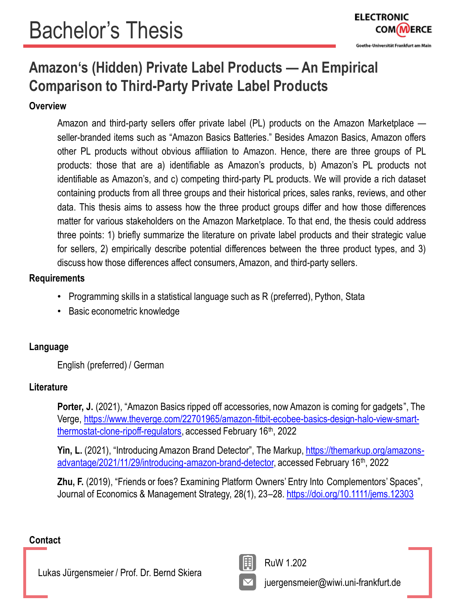## **Amazon's (Hidden) Private Label Products — An Empirical Comparison to Third-Party Private Label Products**

#### **Overview**

Amazon and third-party sellers offer private label (PL) products on the Amazon Marketplace seller-branded items such as "Amazon Basics Batteries." Besides Amazon Basics, Amazon offers other PL products without obvious affiliation to Amazon. Hence, there are three groups of PL products: those that are a) identifiable as Amazon's products, b) Amazon's PL products not identifiable as Amazon's, and c) competing third-party PL products. We will provide a rich dataset containing products from all three groups and their historical prices, sales ranks, reviews, and other data. This thesis aims to assess how the three product groups differ and how those differences matter for various stakeholders on the Amazon Marketplace. To that end, the thesis could address three points: 1) briefly summarize the literature on private label products and their strategic value for sellers, 2) empirically describe potential differences between the three product types, and 3) discuss how those differences affect consumers, Amazon, and third-party sellers.

#### **Requirements**

- Programming skills in a statistical language such as R (preferred), Python, Stata
- Basic econometric knowledge

#### **Language**

English (preferred) / German

#### **Literature**

**Porter, J.** (2021), "Amazon Basics ripped off accessories, now Amazon is coming for gadgets", The [Verge, https://www.theverge.com/22701965/amazon-fitbit-ecobee-basics-design-halo-view-smart](https://www.theverge.com/22701965/amazon-fitbit-ecobee-basics-design-halo-view-smart-thermostat-clone-ripoff-regulators)thermostat-clone-ripoff-regulators, accessed February 16<sup>th</sup>, 2022

**Yin, L.** (2021), "Introducing Amazon Brand Detector", The Markup, https://themarkup.org/amazons[advantage/2021/11/29/introducing-amazon-brand-detector, accessed February 16](https://themarkup.org/amazons-advantage/2021/11/29/introducing-amazon-brand-detector)<sup>th</sup>, 2022

**Zhu, F.** (2019), "Friends or foes? Examining Platform Owners' Entry Into Complementors' Spaces", Journal of Economics & Management Strategy, 28(1), 23-28. <https://doi.org/10.1111/jems.12303>

#### **Contact**

Lukas Jürgensmeier / Prof. Dr. Bernd Skiera



RuW 1.202

juergensmeier@wiwi.uni-frankfurt.de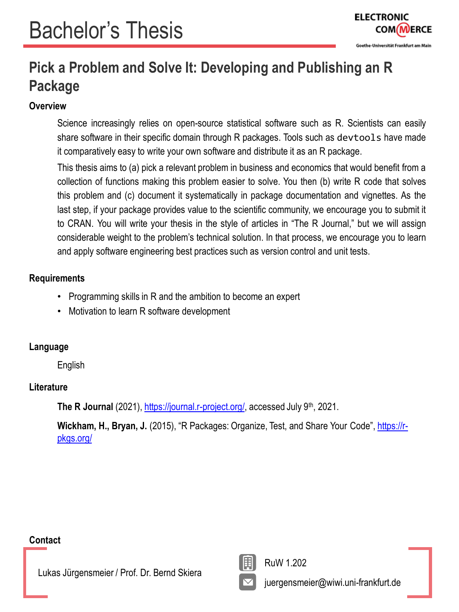## **Pick a Problem and Solve It: Developing and Publishing an R Package**

#### **Overview**

Science increasingly relies on open-source statistical software such as R. Scientists can easily share software in their specific domain through R packages. Tools such as devtools have made it comparatively easy to write your own software and distribute it as an R package.

This thesis aims to (a) pick a relevant problem in business and economics that would benefit from a collection of functions making this problem easier to solve. You then (b) write R code that solves this problem and (c) document it systematically in package documentation and vignettes. As the last step, if your package provides value to the scientific community, we encourage you to submit it to CRAN. You will write your thesis in the style of articles in "The R Journal," but we will assign considerable weight to the problem's technical solution. In that process, we encourage you to learn and apply software engineering best practices such as version control and unit tests.

#### **Requirements**

- Programming skills in R and the ambition to become an expert
- Motivation to learn R software development

#### **Language**

English

#### **Literature**

The R Journal (2021), [https://journal.r-project.org/,](https://journal.r-project.org/) accessed July 9<sup>th</sup>, 2021.

Wickham, H., Bryan, J. [\(2015\), "R Packages: Organize, Test, and Share Your Code",](https://r-pkgs.org/) https://rpkgs.org/

#### **Contact**

Lukas Jürgensmeier / Prof. Dr. Bernd Skiera



RuW 1.202

juergensmeier@wiwi.uni-frankfurt.de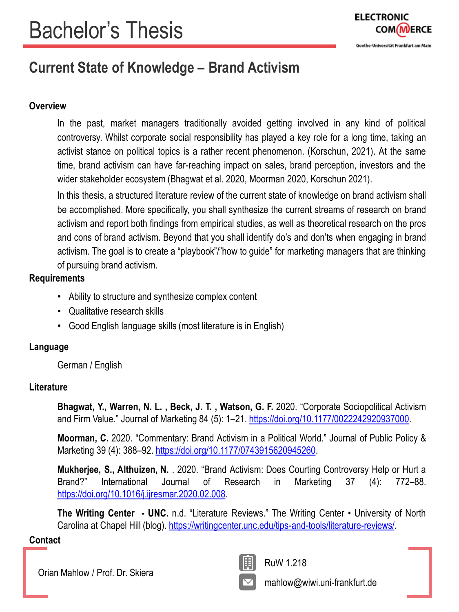

## **Current State of Knowledge – Brand Activism**

#### **Overview**

In the past, market managers traditionally avoided getting involved in any kind of political controversy. Whilst corporate social responsibility has played a key role for a long time, taking an activist stance on political topics is a rather recent phenomenon. (Korschun, 2021). At the same time, brand activism can have far-reaching impact on sales, brand perception, investors and the wider stakeholder ecosystem (Bhagwat et al. 2020, Moorman 2020, Korschun 2021).

In this thesis, a structured literature review of the current state of knowledge on brand activism shall be accomplished. More specifically, you shall synthesize the current streams of research on brand activism and report both findings from empirical studies, as well as theoretical research on the pros and cons of brand activism. Beyond that you shall identify do's and don'ts when engaging in brand activism. The goal is to create a "playbook"/"how to guide" for marketing managers that are thinking of pursuing brand activism.

#### **Requirements**

- Ability to structure and synthesize complex content
- Qualitative research skills
- Good English language skills (most literature is in English)

#### **Language**

German / English

#### **Literature**

**Bhagwat, Y., Warren, N. L. , Beck, J. T. , Watson, G. F.** 2020. "Corporate Sociopolitical Activism and Firm Value." Journal of Marketing 84 (5): 1–21. <https://doi.org/10.1177/0022242920937000>.

**Moorman, C.** 2020. "Commentary: Brand Activism in a Political World." Journal of Public Policy & Marketing 39 (4): 388-92. <https://doi.org/10.1177/0743915620945260>.

**Mukherjee, S., Althuizen, N.** . 2020. "Brand Activism: Does Courting Controversy Help or Hurt a Brand?" International Journal of Research in Marketing 37 (4): 772–88. <https://doi.org/10.1016/j.ijresmar.2020.02.008>.

**The Writing Center - UNC.** n.d. "Literature Reviews." The Writing Center • University of North Carolina at Chapel Hill (blog). <https://writingcenter.unc.edu/tips-and-tools/literature-reviews/>.

#### **Contact**

Orian Mahlow / Prof. Dr. Skiera



RuW 1.218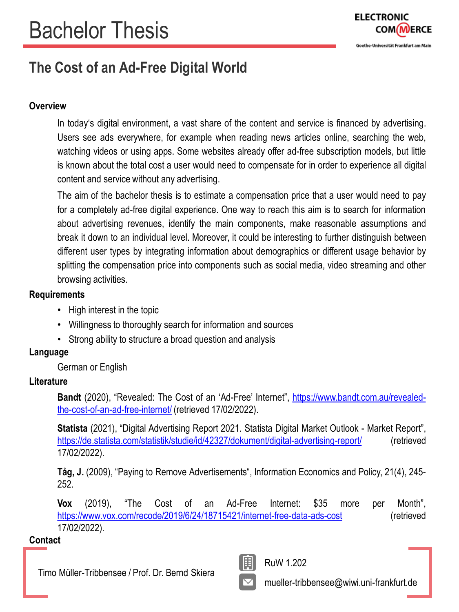

## **The Cost of an Ad-Free Digital World**

#### **Overview**

In today's digital environment, a vast share of the content and service is financed by advertising. Users see ads everywhere, for example when reading news articles online, searching the web, watching videos or using apps. Some websites already offer ad-free subscription models, but little is known about the total cost a user would need to compensate for in order to experience all digital content and service without any advertising.

The aim of the bachelor thesis is to estimate a compensation price that a user would need to pay for a completely ad-free digital experience. One way to reach this aim is to search for information about advertising revenues, identify the main components, make reasonable assumptions and break it down to an individual level. Moreover, it could be interesting to further distinguish between different user types by integrating information about demographics or different usage behavior by splitting the compensation price into components such as social media, video streaming and other browsing activities.

#### **Requirements**

- High interest in the topic
- Willingness to thoroughly search for information and sources
- Strong ability to structure a broad question and analysis

#### **Language**

German or English

#### **Literature**

**Bandt** (2020), "Revealed: The Cost of an 'Ad-Free' Internet", [https://www.bandt.com.au/revealed](https://www.bandt.com.au/revealed-the-cost-of-an-ad-free-internet/)the-cost-of-an-ad-free-internet/ (retrieved 17/02/2022).

**Statista** (2021), "Digital Advertising Report 2021. Statista Digital Market Outlook - Market Report", <https://de.statista.com/statistik/studie/id/42327/dokument/digital-advertising-report/> (retrieved 17/02/2022).

**Tåg, J.** (2009), "Paying to Remove Advertisements", Information Economics and Policy, 21(4), 245- 252.

**Vox** (2019), "The Cost of an Ad-Free Internet: \$35 more per Month", <https://www.vox.com/recode/2019/6/24/18715421/internet-free-data-ads-cost> (retrieved 17/02/2022).

#### **Contact**

Timo Müller-Tribbensee / Prof. Dr. Bernd Skiera



RuW 1.202

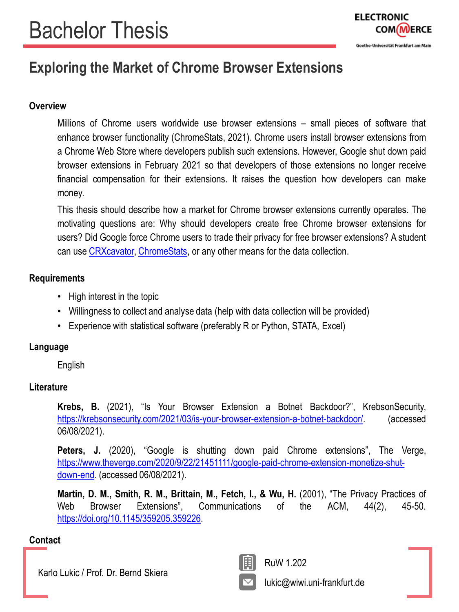## **Exploring the Market of Chrome Browser Extensions**

#### **Overview**

Millions of Chrome users worldwide use browser extensions – small pieces of software that enhance browser functionality (ChromeStats, 2021). Chrome users install browser extensions from a Chrome Web Store where developers publish such extensions. However, Google shut down paid browser extensions in February 2021 so that developers of those extensions no longer receive financial compensation for their extensions. It raises the question how developers can make money.

This thesis should describe how a market for Chrome browser extensions currently operates. The motivating questions are: Why should developers create free Chrome browser extensions for users? Did Google force Chrome users to trade their privacy for free browser extensions? A student can use [CRXcavator,](https://crxcavator.io/docs.html) [ChromeStats](https://chrome-stats.com/), or any other means for the data collection.

#### **Requirements**

- High interest in the topic
- Willingness to collect and analyse data (help with data collection will be provided)
- Experience with statistical software (preferably R or Python, STATA, Excel)

#### **Language**

English

#### **Literature**

**Krebs, B.** (2021), "Is Your Browser Extension a Botnet Backdoor?", KrebsonSecurity, <https://krebsonsecurity.com/2021/03/is-your-browser-extension-a-botnet-backdoor/>. (accessed 06/08/2021).

**Peters, J.** (2020), "Google is shutting down paid Chrome extensions", The Verge, [https://www.theverge.com/2020/9/22/21451111/google-paid-chrome-extension-monetize-shut](https://www.theverge.com/2020/9/22/21451111/google-paid-chrome-extension-monetize-shut-down-end)down-end. (accessed 06/08/2021).

**Martin, D. M., Smith, R. M., Brittain, M., Fetch, I., & Wu, H.** (2001), "The Privacy Practices of Web Browser Extensions", Communications of the ACM, 44(2), 45-50. <https://doi.org/10.1145/359205.359226>.

#### **Contact**

Karlo Lukic / Prof. Dr. Bernd Skiera



RuW 1.202

lukic@wiwi.uni-frankfurt.de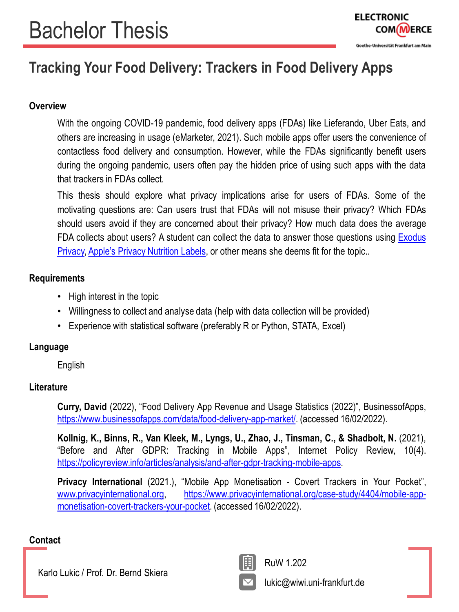## **Tracking Your Food Delivery: Trackers in Food Delivery Apps**

#### **Overview**

With the ongoing COVID-19 pandemic, food delivery apps (FDAs) like Lieferando, Uber Eats, and others are increasing in usage (eMarketer, 2021). Such mobile apps offer users the convenience of contactless food delivery and consumption. However, while the FDAs significantly benefit users during the ongoing pandemic, users often pay the hidden price of using such apps with the data that trackers in FDAs collect.

This thesis should explore what privacy implications arise for users of FDAs. Some of the motivating questions are: Can users trust that FDAs will not misuse their privacy? Which FDAs should users avoid if they are concerned about their privacy? How much data does the average FDA collects about users? A student can collect the data to answer those [questions](https://reports.exodus-privacy.eu.org/en/) using **Exodus** Privacy, Apple's Privacy [Nutrition](https://www.apple.com/privacy/labels/) Labels, or other means she deems fit for the topic..

#### **Requirements**

- High interest in the topic
- Willingness to collect and analyse data (help with data collection will be provided)
- Experience with statistical software (preferably R or Python, STATA, Excel)

#### **Language**

English

#### **Literature**

**Curry, David** (2022), "Food Delivery App Revenue and Usage Statistics (2022)", BusinessofApps, [https://www.businessofapps.com/data/food-delivery-app-market/.](https://www.businessofapps.com/data/food-delivery-app-market/) (accessed 16/02/2022).

**Kollnig, K., Binns, R., Van Kleek, M., Lyngs, U., Zhao, J., Tinsman, C., & Shadbolt, N.** (2021), "Before and After GDPR: Tracking in Mobile Apps", Internet Policy Review, 10(4). [https://policyreview.info/articles/analysis/and-after-gdpr-tracking-mobile-apps.](https://policyreview.info/articles/analysis/and-after-gdpr-tracking-mobile-apps)

**Privacy International** (2021.), "Mobile App Monetisation - Covert Trackers in Your Pocket", [www.privacyinternational.org](http://www.privacyinternational.org/), [https://www.privacyinternational.org/case-study/4404/mobile-app](https://www.privacyinternational.org/case-study/4404/mobile-app-monetisation-covert-trackers-your-pocket)monetisation-covert-trackers-your-pocket. (accessed 16/02/2022).

#### **Contact**

Karlo Lukic / Prof. Dr. Bernd Skiera



RuW 1.202

lukic@wiwi.uni-frankfurt.de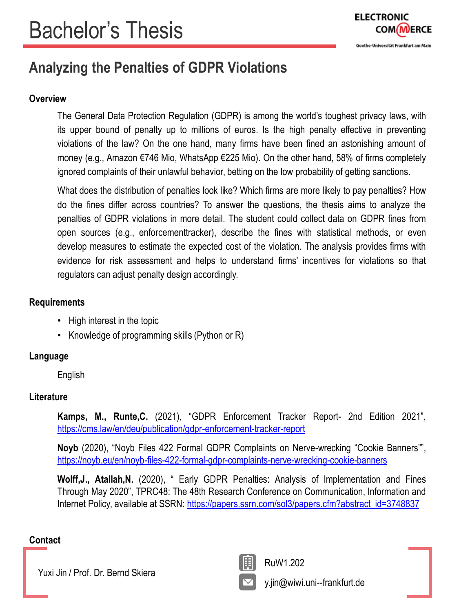

## **Analyzing the Penalties of GDPR Violations**

#### **Overview**

The General Data Protection Regulation (GDPR) is among the world's toughest privacy laws, with its upper bound of penalty up to millions of euros. Is the high penalty effective in preventing violations of the law? On the one hand, many firms have been fined an astonishing amount of money (e.g., Amazon €746 Mio, WhatsApp €225 Mio). On the other hand, 58% of firms completely ignored complaints of their unlawful behavior, betting on the low probability of getting sanctions.

What does the distribution of penalties look like? Which firms are more likely to pay penalties? How do the fines differ across countries? To answer the questions, the thesis aims to analyze the penalties of GDPR violations in more detail. The student could collect data on GDPR fines from open sources (e.g., enforcementtracker), describe the fines with statistical methods, or even develop measures to estimate the expected cost of the violation. The analysis provides firms with evidence for risk assessment and helps to understand firms' incentives for violations so that regulators can adjust penalty design accordingly.

#### **Requirements**

- High interest in the topic
- Knowledge of programming skills (Python or R)

#### **Language**

English

#### **Literature**

**Kamps, M., Runte,C.** (2021), "GDPR Enforcement Tracker Report- 2nd Edition 2021", <https://cms.law/en/deu/publication/gdpr-enforcement-tracker-report>

**Noyb** (2020), "Noyb Files 422 Formal GDPR Complaints on Nerve-wrecking "Cookie Banners"", <https://noyb.eu/en/noyb-files-422-formal-gdpr-complaints-nerve-wrecking-cookie-banners>

**Wolff,J., Atallah,N.** (2020), " Early GDPR Penalties: Analysis of Implementation and Fines Through May 2020", TPRC48: The 48th Research Conference on Communication, Information and Internet Policy, available at SSRN: [https://papers.ssrn.com/sol3/papers.cfm?abstract\\_id=3748837](https://papers.ssrn.com/sol3/papers.cfm?abstract_id=3748837)

#### **Contact**

Yuxi Jin / Prof. Dr. Bernd Skiera



y.jin@wiwi.uni--frankfurt.de